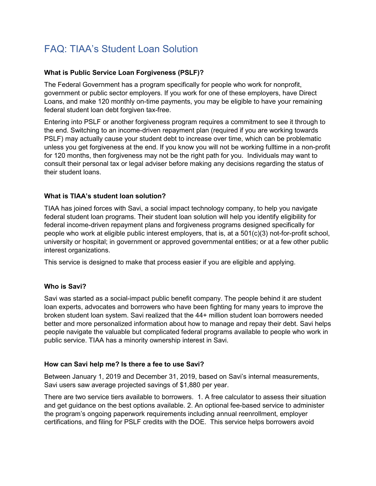# FAQ: TIAA's Student Loan Solution

## **What is Public Service Loan Forgiveness (PSLF)?**

The Federal Government has a program specifically for people who work for nonprofit, government or public sector employers. If you work for one of these employers, have Direct Loans, and make 120 monthly on-time payments, you may be eligible to have your remaining federal student loan debt forgiven tax-free.

Entering into PSLF or another forgiveness program requires a commitment to see it through to the end. Switching to an income-driven repayment plan (required if you are working towards PSLF) may actually cause your student debt to increase over time, which can be problematic unless you get forgiveness at the end. If you know you will not be working fulltime in a non-profit for 120 months, then forgiveness may not be the right path for you. Individuals may want to consult their personal tax or legal adviser before making any decisions regarding the status of their student loans.

### **What is TIAA's student loan solution?**

TIAA has joined forces with Savi, a social impact technology company, to help you navigate federal student loan programs. Their student loan solution will help you identify eligibility for federal income-driven repayment plans and forgiveness programs designed specifically for people who work at eligible public interest employers, that is, at a 501(c)(3) not-for-profit school, university or hospital; in government or approved governmental entities; or at a few other public interest organizations.

This service is designed to make that process easier if you are eligible and applying.

### **Who is Savi?**

Savi was started as a social-impact public benefit company. The people behind it are student loan experts, advocates and borrowers who have been fighting for many years to improve the broken student loan system. Savi realized that the 44+ million student loan borrowers needed better and more personalized information about how to manage and repay their debt. Savi helps people navigate the valuable but complicated federal programs available to people who work in public service. TIAA has a minority ownership interest in Savi.

### **How can Savi help me? Is there a fee to use Savi?**

Between January 1, 2019 and December 31, 2019, based on Savi's internal measurements, Savi users saw average projected savings of \$1,880 per year.

There are two service tiers available to borrowers. 1. A free calculator to assess their situation and get guidance on the best options available. 2. An optional fee-based service to administer the program's ongoing paperwork requirements including annual reenrollment, employer certifications, and filing for PSLF credits with the DOE. This service helps borrowers avoid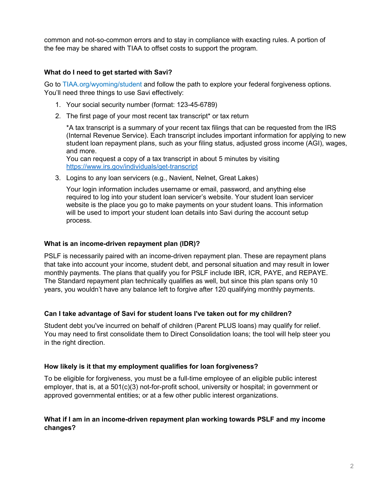common and not-so-common errors and to stay in compliance with exacting rules. A portion of the fee may be shared with TIAA to offset costs to support the program.

## **What do I need to get started with Savi?**

Go to [TIAA.org/wyoming/student](https://www.tiaa.org/wyoming/student) and follow the path to explore your federal forgiveness options. You'll need three things to use Savi effectively:

- 1. Your social security number (format: 123-45-6789)
- 2. The first page of your most recent tax transcript\* or tax return

\*A tax transcript is a summary of your recent tax filings that can be requested from the IRS (Internal Revenue Service). Each transcript includes important information for applying to new student loan repayment plans, such as your filing status, adjusted gross income (AGI), wages, and more.

You can request a copy of a tax transcript in about 5 minutes by visiting <https://www.irs.gov/individuals/get-transcript>

3. Logins to any loan servicers (e.g., Navient, Nelnet, Great Lakes)

Your login information includes username or email, password, and anything else required to log into your student loan servicer's website. Your student loan servicer website is the place you go to make payments on your student loans. This information will be used to import your student loan details into Savi during the account setup process.

### **What is an income-driven repayment plan (IDR)?**

PSLF is necessarily paired with an income-driven repayment plan. These are repayment plans that take into account your income, student debt, and personal situation and may result in lower monthly payments. The plans that qualify you for PSLF include IBR, ICR, PAYE, and REPAYE. The Standard repayment plan technically qualifies as well, but since this plan spans only 10 years, you wouldn't have any balance left to forgive after 120 qualifying monthly payments.

### **Can I take advantage of Savi for student loans I've taken out for my children?**

Student debt you've incurred on behalf of children (Parent PLUS loans) may qualify for relief. You may need to first consolidate them to Direct Consolidation loans; the tool will help steer you in the right direction.

### **How likely is it that my employment qualifies for loan forgiveness?**

To be eligible for forgiveness, you must be a full-time employee of an eligible public interest employer, that is, at a 501(c)(3) not-for-profit school, university or hospital; in government or approved governmental entities; or at a few other public interest organizations.

## **What if I am in an income-driven repayment plan working towards PSLF and my income changes?**